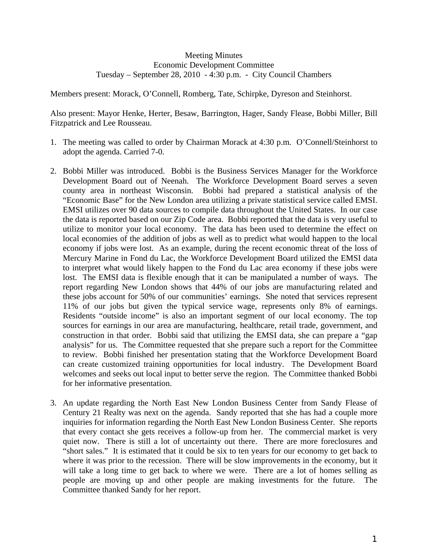## Meeting Minutes Economic Development Committee Tuesday – September 28, 2010 - 4:30 p.m. - City Council Chambers

Members present: Morack, O'Connell, Romberg, Tate, Schirpke, Dyreson and Steinhorst.

Also present: Mayor Henke, Herter, Besaw, Barrington, Hager, Sandy Flease, Bobbi Miller, Bill Fitzpatrick and Lee Rousseau.

- 1. The meeting was called to order by Chairman Morack at 4:30 p.m. O'Connell/Steinhorst to adopt the agenda. Carried 7-0.
- 2. Bobbi Miller was introduced. Bobbi is the Business Services Manager for the Workforce Development Board out of Neenah. The Workforce Development Board serves a seven county area in northeast Wisconsin. Bobbi had prepared a statistical analysis of the "Economic Base" for the New London area utilizing a private statistical service called EMSI. EMSI utilizes over 90 data sources to compile data throughout the United States. In our case the data is reported based on our Zip Code area. Bobbi reported that the data is very useful to utilize to monitor your local economy. The data has been used to determine the effect on local economies of the addition of jobs as well as to predict what would happen to the local economy if jobs were lost. As an example, during the recent economic threat of the loss of Mercury Marine in Fond du Lac, the Workforce Development Board utilized the EMSI data to interpret what would likely happen to the Fond du Lac area economy if these jobs were lost. The EMSI data is flexible enough that it can be manipulated a number of ways. The report regarding New London shows that 44% of our jobs are manufacturing related and these jobs account for 50% of our communities' earnings. She noted that services represent 11% of our jobs but given the typical service wage, represents only 8% of earnings. Residents "outside income" is also an important segment of our local economy. The top sources for earnings in our area are manufacturing, healthcare, retail trade, government, and construction in that order. Bobbi said that utilizing the EMSI data, she can prepare a "gap analysis" for us. The Committee requested that she prepare such a report for the Committee to review. Bobbi finished her presentation stating that the Workforce Development Board can create customized training opportunities for local industry. The Development Board welcomes and seeks out local input to better serve the region. The Committee thanked Bobbi for her informative presentation.
- 3. An update regarding the North East New London Business Center from Sandy Flease of Century 21 Realty was next on the agenda. Sandy reported that she has had a couple more inquiries for information regarding the North East New London Business Center. She reports that every contact she gets receives a follow-up from her. The commercial market is very quiet now. There is still a lot of uncertainty out there. There are more foreclosures and "short sales." It is estimated that it could be six to ten years for our economy to get back to where it was prior to the recession. There will be slow improvements in the economy, but it will take a long time to get back to where we were. There are a lot of homes selling as people are moving up and other people are making investments for the future. The Committee thanked Sandy for her report.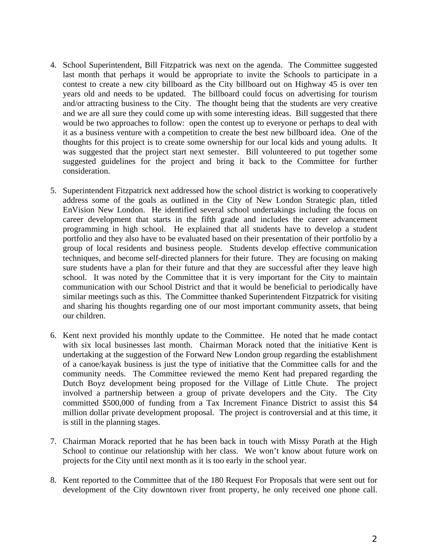- 4. School Superintendent, Bill Fitzpatrick was next on the agenda. The Committee suggested last month that perhaps it would be appropriate to invite the Schools to participate in a contest to create a new city billboard as the City billboard out on Highway 45 is over ten years old and needs to be updated. The billboard could focus on advertising for tourism and/or attracting business to the City. The thought being that the students are very creative and we are all sure they could come up with some interesting ideas. Bill suggested that there would be two approaches to follow: open the contest up to everyone or perhaps to deal with it as a business venture with a competition to create the best new billboard idea. One of the thoughts for this project is to create some ownership for our local kids and young adults. It was suggested that the project start next semester. Bill volunteered to put together some suggested guidelines for the project and bring it back to the Committee for further consideration.
- 5. Superintendent Fitzpatrick next addressed how the school district is working to cooperatively address some of the goals as outlined in the City of New London Strategic plan, titled EnVision New London. He identified several school undertakings including the focus on career development that starts in the fifth grade and includes the career advancement programming in high school. He explained that all students have to develop a student portfolio and they also have to be evaluated based on their presentation of their portfolio by a group of local residents and business people. Students develop effective communication techniques, and become self-directed planners for their future. They are focusing on making sure students have a plan for their future and that they are successful after they leave high school. It was noted by the Committee that it is very important for the City to maintain communication with our School District and that it would be beneficial to periodically have similar meetings such as this. The Committee thanked Superintendent Fitzpatrick for visiting and sharing his thoughts regarding one of our most important community assets, that being our children.
- 6. Kent next provided his monthly update to the Committee. He noted that he made contact with six local businesses last month. Chairman Morack noted that the initiative Kent is undertaking at the suggestion of the Forward New London group regarding the establishment of a canoe/kayak business is just the type of initiative that the Committee calls for and the community needs. The Committee reviewed the memo Kent had prepared regarding the Dutch Boyz development being proposed for the Village of Little Chute. The project involved a partnership between a group of private developers and the City. The City committed \$500,000 of funding from a Tax Increment Finance District to assist this \$4 million dollar private development proposal. The project is controversial and at this time, it is still in the planning stages.
- 7. Chairman Morack reported that he has been back in touch with Missy Porath at the High School to continue our relationship with her class. We won't know about future work on projects for the City until next month as it is too early in the school year.
- 8. Kent reported to the Committee that of the 180 Request For Proposals that were sent out for development of the City downtown river front property, he only received one phone call.